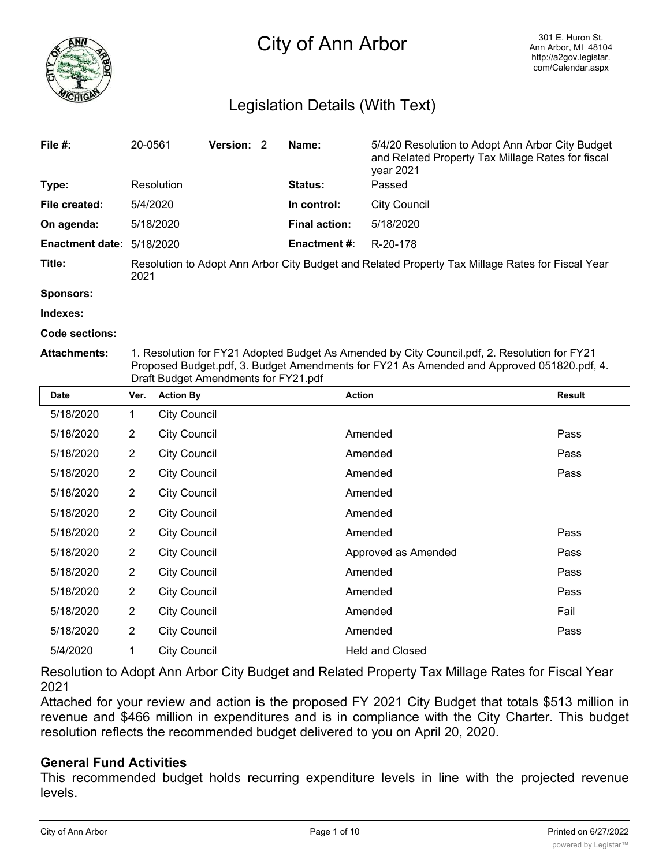

# City of Ann Arbor

### Legislation Details (With Text)

| File $#$ :                | 20-0561                                                                                                  | <b>Version: 2</b> |  | Name:                | 5/4/20 Resolution to Adopt Ann Arbor City Budget<br>and Related Property Tax Millage Rates for fiscal<br>year 2021 |
|---------------------------|----------------------------------------------------------------------------------------------------------|-------------------|--|----------------------|--------------------------------------------------------------------------------------------------------------------|
| Type:                     | Resolution                                                                                               |                   |  | <b>Status:</b>       | Passed                                                                                                             |
| File created:             | 5/4/2020                                                                                                 |                   |  | In control:          | City Council                                                                                                       |
| On agenda:                | 5/18/2020                                                                                                |                   |  | <b>Final action:</b> | 5/18/2020                                                                                                          |
| Enactment date: 5/18/2020 |                                                                                                          |                   |  | Enactment #:         | R-20-178                                                                                                           |
| Title:                    | Resolution to Adopt Ann Arbor City Budget and Related Property Tax Millage Rates for Fiscal Year<br>2021 |                   |  |                      |                                                                                                                    |

**Sponsors:**

**Indexes:**

**Code sections:**

**Attachments:** 1. Resolution for FY21 Adopted Budget As Amended by City Council.pdf, 2. Resolution for FY21 Proposed Budget.pdf, 3. Budget Amendments for FY21 As Amended and Approved 051820.pdf, 4. Draft Budget Amendments for FY21.pdf

| <b>Date</b> | Ver.           | <b>Action By</b>    | <b>Action</b>          | <b>Result</b> |
|-------------|----------------|---------------------|------------------------|---------------|
| 5/18/2020   | 1              | <b>City Council</b> |                        |               |
| 5/18/2020   | $\overline{2}$ | <b>City Council</b> | Amended                | Pass          |
| 5/18/2020   | $\overline{2}$ | <b>City Council</b> | Amended                | Pass          |
| 5/18/2020   | $\overline{2}$ | <b>City Council</b> | Amended                | Pass          |
| 5/18/2020   | $\overline{2}$ | <b>City Council</b> | Amended                |               |
| 5/18/2020   | $\overline{2}$ | <b>City Council</b> | Amended                |               |
| 5/18/2020   | $\overline{2}$ | <b>City Council</b> | Amended                | Pass          |
| 5/18/2020   | $\overline{2}$ | <b>City Council</b> | Approved as Amended    | Pass          |
| 5/18/2020   | $\overline{2}$ | <b>City Council</b> | Amended                | Pass          |
| 5/18/2020   | $\overline{2}$ | <b>City Council</b> | Amended                | Pass          |
| 5/18/2020   | $\overline{2}$ | <b>City Council</b> | Amended                | Fail          |
| 5/18/2020   | $\overline{2}$ | <b>City Council</b> | Amended                | Pass          |
| 5/4/2020    | 1              | <b>City Council</b> | <b>Held and Closed</b> |               |

Resolution to Adopt Ann Arbor City Budget and Related Property Tax Millage Rates for Fiscal Year 2021

Attached for your review and action is the proposed FY 2021 City Budget that totals \$513 million in revenue and \$466 million in expenditures and is in compliance with the City Charter. This budget resolution reflects the recommended budget delivered to you on April 20, 2020.

#### **General Fund Activities**

This recommended budget holds recurring expenditure levels in line with the projected revenue levels.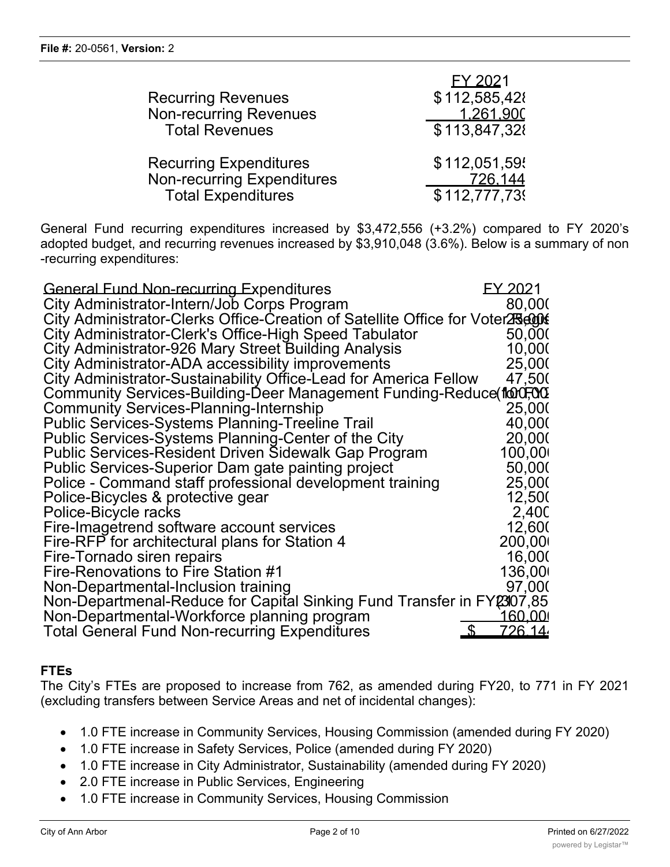| <b>Recurring Revenues</b><br>Non-recurring Revenues<br><b>Total Revenues</b> | EY 2021<br>\$112,585,428<br>1.261.900<br>\$113,847,328 |
|------------------------------------------------------------------------------|--------------------------------------------------------|
| <b>Recurring Expenditures</b>                                                | \$112,051,59                                           |
| <b>Non-recurring Expenditures</b>                                            | 726.144                                                |
| <b>Total Expenditures</b>                                                    | \$112,777,73                                           |

General Fund recurring expenditures increased by \$3,472,556 (+3.2%) compared to FY 2020's adopted budget, and recurring revenues increased by \$3,910,048 (3.6%). Below is a summary of non -recurring expenditures:

| <b>General Fund Non-recurring Expenditures</b>                                 | FY 2021                          |
|--------------------------------------------------------------------------------|----------------------------------|
| City Administrator-Intern/Job Corps Program                                    | 80,000                           |
| City Administrator-Clerks Office-Creation of Satellite Office for Voter25,000£ |                                  |
| City Administrator-Clerk's Office-High Speed Tabulator                         | 50,000                           |
| City Administrator-926 Mary Street Building Analysis                           | 10,000                           |
| City Administrator-ADA accessibility improvements                              | 25,000                           |
| City Administrator-Sustainability Office-Lead for America Fellow               | 47,500                           |
| Community Services-Building-Deer Management Funding-Reduce for CO              |                                  |
| <b>Community Services-Planning-Internship</b>                                  | 25,000                           |
| <b>Public Services-Systems Planning-Treeline Trail</b>                         | 40,000                           |
| Public Services-Systems Planning-Center of the City                            | 20,000                           |
| <b>Public Services-Resident Driven Sidewalk Gap Program</b>                    | 100,00                           |
| Public Services-Superior Dam gate painting project                             | 50,000                           |
| Police - Command staff professional development training                       | 25,000                           |
| Police-Bicycles & protective gear                                              | 12,500                           |
| Police-Bicycle racks                                                           | 2,40 <sub>C</sub>                |
| Fire-Imagetrend software account services                                      | 12,600                           |
| Fire-RFP for architectural plans for Station 4                                 | 200,00                           |
| Fire-Tornado siren repairs                                                     | 16,000                           |
| Fire-Renovations to Fire Station #1                                            | 136,000                          |
| Non-Departmental-Inclusion training                                            | 97,000                           |
| Non-Departmenal-Reduce for Capital Sinking Fund Transfer in FY2307,85          |                                  |
| Non-Departmental-Workforce planning program                                    | <u> 160.001</u>                  |
| <b>Total General Fund Non-recurring Expenditures</b>                           | <u>726.14.</u><br>$\mathfrak{L}$ |

#### **FTEs**

The City's FTEs are proposed to increase from 762, as amended during FY20, to 771 in FY 2021 (excluding transfers between Service Areas and net of incidental changes):

- · 1.0 FTE increase in Community Services, Housing Commission (amended during FY 2020)
- · 1.0 FTE increase in Safety Services, Police (amended during FY 2020)
- · 1.0 FTE increase in City Administrator, Sustainability (amended during FY 2020)
- · 2.0 FTE increase in Public Services, Engineering
- · 1.0 FTE increase in Community Services, Housing Commission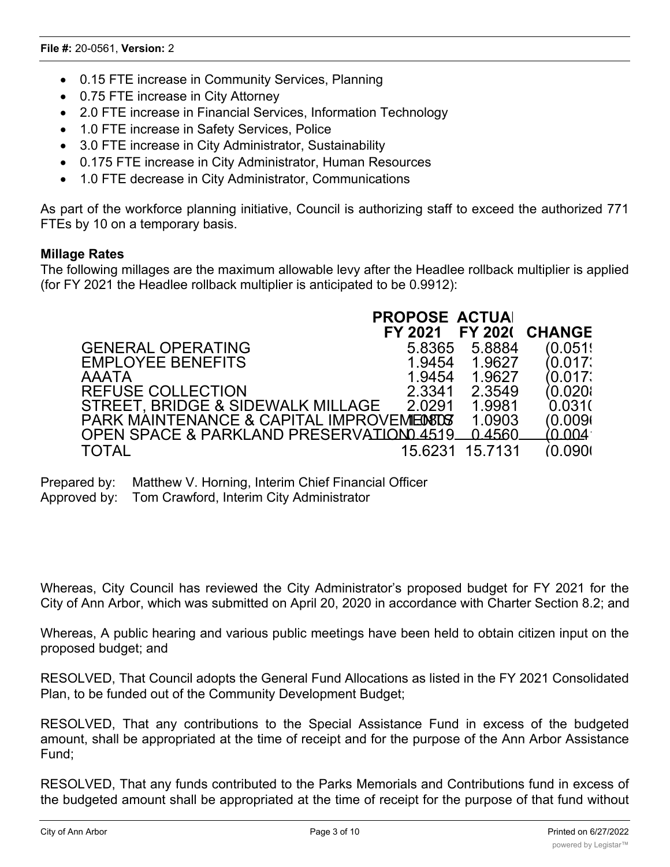- · 0.15 FTE increase in Community Services, Planning
- · 0.75 FTE increase in City Attorney
- · 2.0 FTE increase in Financial Services, Information Technology
- · 1.0 FTE increase in Safety Services, Police
- · 3.0 FTE increase in City Administrator, Sustainability
- · 0.175 FTE increase in City Administrator, Human Resources
- · 1.0 FTE decrease in City Administrator, Communications

As part of the workforce planning initiative, Council is authorizing staff to exceed the authorized 771 FTEs by 10 on a temporary basis.

#### **Millage Rates**

The following millages are the maximum allowable levy after the Headlee rollback multiplier is applied (for FY 2021 the Headlee rollback multiplier is anticipated to be 0.9912):

|                                                | <b>PROPOSE ACTUAL</b> |                 |                |
|------------------------------------------------|-----------------------|-----------------|----------------|
|                                                | FY 2021               |                 | FY 2021 CHANGE |
| <b>GENERAL OPERATING</b>                       | 5.8365                | 5.8884          | (0.051)        |
| <b>EMPLOYEE BENEFITS</b>                       | 1.9454                | 1.9627          | (0.017)        |
| <b>AAATA</b>                                   | 1.9454                | 1.9627          | (0.017)        |
| <b>REFUSE COLLECTION</b>                       | 2.3341                | 2.3549          | (0.020)        |
| STREET, BRIDGE & SIDEWALK MILLAGE              | 2.0291                | 1.9981          | 0.031(         |
| PARK MAINTENANCE & CAPITAL IMPROVEMENTS        |                       | 1.0903          | (0.009)        |
| OPEN SPACE & PARKLAND PRESERVATIOND 4519 04560 |                       |                 | (0.004)        |
| <b>TOTAL</b>                                   |                       | 15.6231 15.7131 | (0.090)        |

Prepared by: Matthew V. Horning, Interim Chief Financial Officer

Approved by: Tom Crawford, Interim City Administrator

Whereas, City Council has reviewed the City Administrator's proposed budget for FY 2021 for the City of Ann Arbor, which was submitted on April 20, 2020 in accordance with Charter Section 8.2; and

Whereas, A public hearing and various public meetings have been held to obtain citizen input on the proposed budget; and

RESOLVED, That Council adopts the General Fund Allocations as listed in the FY 2021 Consolidated Plan, to be funded out of the Community Development Budget;

RESOLVED, That any contributions to the Special Assistance Fund in excess of the budgeted amount, shall be appropriated at the time of receipt and for the purpose of the Ann Arbor Assistance Fund;

RESOLVED, That any funds contributed to the Parks Memorials and Contributions fund in excess of the budgeted amount shall be appropriated at the time of receipt for the purpose of that fund without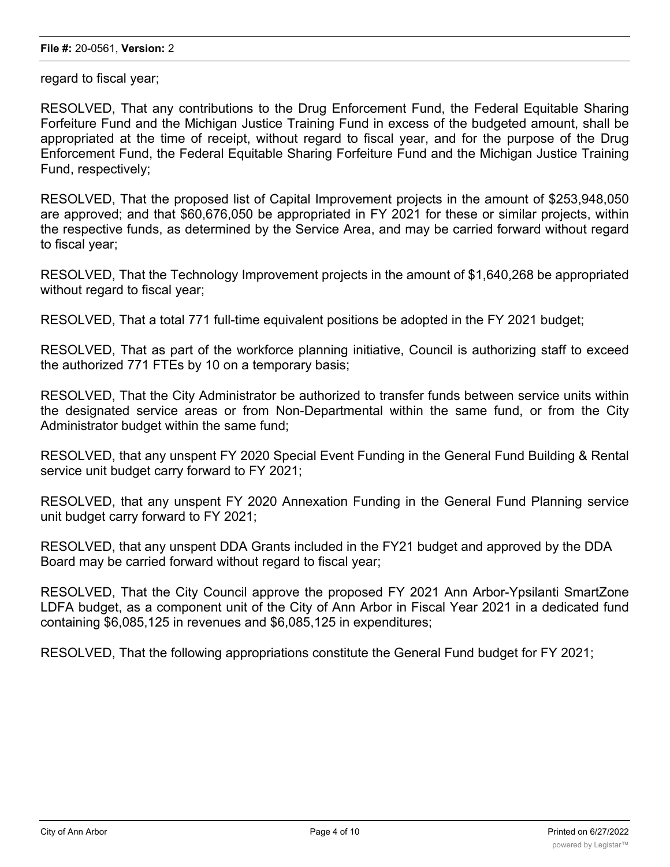regard to fiscal year;

RESOLVED, That any contributions to the Drug Enforcement Fund, the Federal Equitable Sharing Forfeiture Fund and the Michigan Justice Training Fund in excess of the budgeted amount, shall be appropriated at the time of receipt, without regard to fiscal year, and for the purpose of the Drug Enforcement Fund, the Federal Equitable Sharing Forfeiture Fund and the Michigan Justice Training Fund, respectively;

RESOLVED, That the proposed list of Capital Improvement projects in the amount of \$253,948,050 are approved; and that \$60,676,050 be appropriated in FY 2021 for these or similar projects, within the respective funds, as determined by the Service Area, and may be carried forward without regard to fiscal year;

RESOLVED, That the Technology Improvement projects in the amount of \$1,640,268 be appropriated without regard to fiscal year;

RESOLVED, That a total 771 full-time equivalent positions be adopted in the FY 2021 budget;

RESOLVED, That as part of the workforce planning initiative, Council is authorizing staff to exceed the authorized 771 FTEs by 10 on a temporary basis;

RESOLVED, That the City Administrator be authorized to transfer funds between service units within the designated service areas or from Non-Departmental within the same fund, or from the City Administrator budget within the same fund;

RESOLVED, that any unspent FY 2020 Special Event Funding in the General Fund Building & Rental service unit budget carry forward to FY 2021;

RESOLVED, that any unspent FY 2020 Annexation Funding in the General Fund Planning service unit budget carry forward to FY 2021;

RESOLVED, that any unspent DDA Grants included in the FY21 budget and approved by the DDA Board may be carried forward without regard to fiscal year;

RESOLVED, That the City Council approve the proposed FY 2021 Ann Arbor-Ypsilanti SmartZone LDFA budget, as a component unit of the City of Ann Arbor in Fiscal Year 2021 in a dedicated fund containing \$6,085,125 in revenues and \$6,085,125 in expenditures;

RESOLVED, That the following appropriations constitute the General Fund budget for FY 2021;

Community Services (Services Services)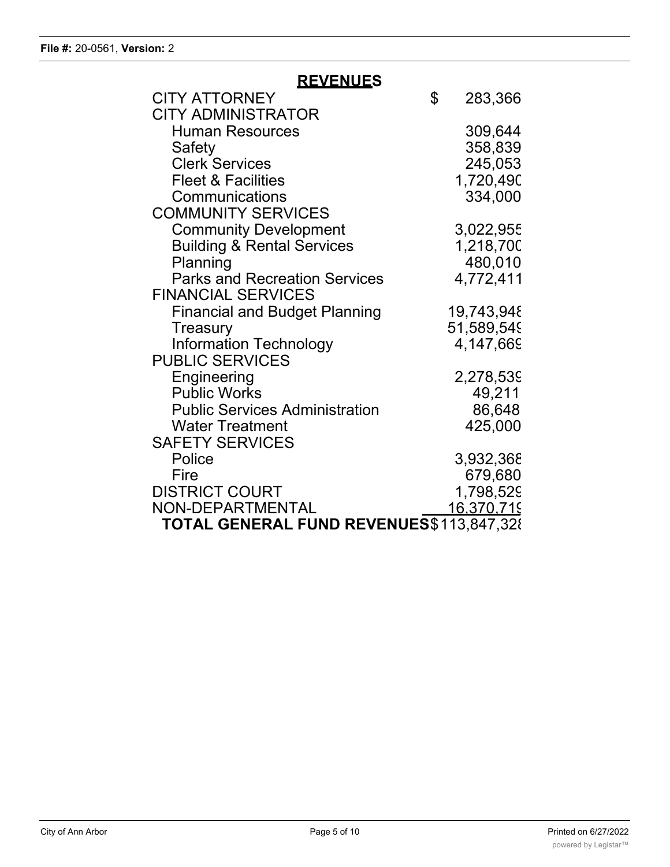## **REVENUES**

| <b>CITY ATTORNEY</b>                     | \$<br>283,366 |
|------------------------------------------|---------------|
| <b>CITY ADMINISTRATOR</b>                |               |
| <b>Human Resources</b>                   | 309,644       |
| Safety                                   | 358,839       |
| <b>Clerk Services</b>                    | 245,053       |
| <b>Fleet &amp; Facilities</b>            | 1,720,490     |
| Communications                           | 334,000       |
| <b>COMMUNITY SERVICES</b>                |               |
| <b>Community Development</b>             | 3,022,955     |
| <b>Building &amp; Rental Services</b>    | 1,218,700     |
| Planning                                 | 480,010       |
| <b>Parks and Recreation Services</b>     | 4,772,411     |
| <b>FINANCIAL SERVICES</b>                |               |
| <b>Financial and Budget Planning</b>     | 19,743,948    |
| Treasury                                 | 51,589,549    |
| <b>Information Technology</b>            | 4,147,669     |
| <b>PUBLIC SERVICES</b>                   |               |
| Engineering                              | 2,278,539     |
| <b>Public Works</b>                      | 49,211        |
| <b>Public Services Administration</b>    | 86,648        |
| <b>Water Treatment</b>                   | 425,000       |
| <b>SAFETY SERVICES</b>                   |               |
| Police                                   | 3,932,368     |
| Fire                                     | 679,680       |
| <b>DISTRICT COURT</b>                    | 1,798,529     |
| NON-DEPARTMENTAL                         | 16,370,719    |
| TOTAL GENERAL FUND REVENUES\$113,847,328 |               |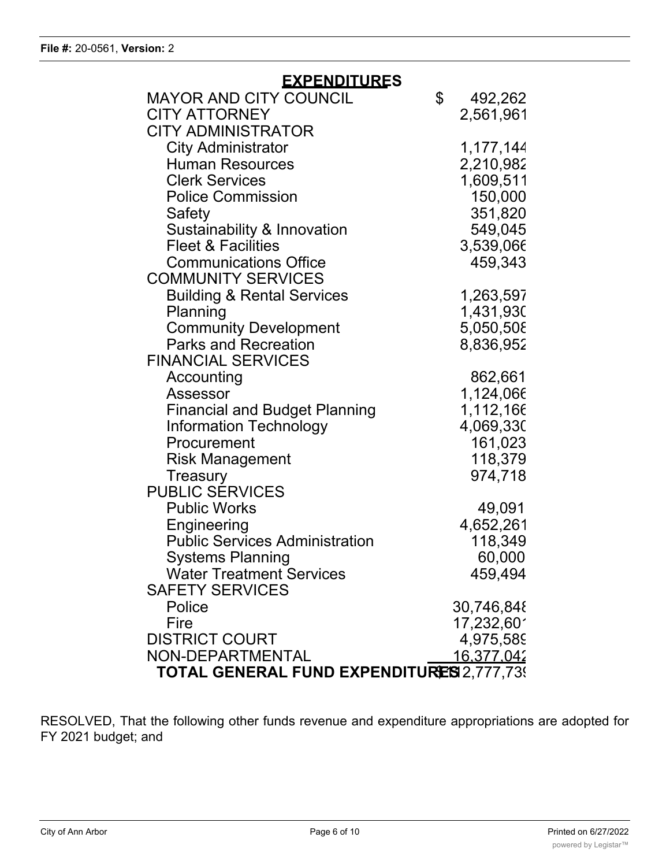| <b>EXPENDITURES</b>                              |                   |
|--------------------------------------------------|-------------------|
| <b>MAYOR AND CITY COUNCIL</b>                    | \$<br>492,262     |
| <b>CITY ATTORNEY</b>                             | 2,561,961         |
| <b>CITY ADMINISTRATOR</b>                        |                   |
| <b>City Administrator</b>                        | 1,177,144         |
| <b>Human Resources</b>                           | 2,210,982         |
| <b>Clerk Services</b>                            | 1,609,511         |
| <b>Police Commission</b>                         | 150,000           |
| Safety                                           | 351,820           |
| Sustainability & Innovation                      | 549,045           |
| <b>Fleet &amp; Facilities</b>                    | 3,539,066         |
| <b>Communications Office</b>                     | 459,343           |
| <b>COMMUNITY SERVICES</b>                        |                   |
| <b>Building &amp; Rental Services</b>            | 1,263,597         |
| Planning                                         | 1,431,930         |
| <b>Community Development</b>                     | 5,050,508         |
| <b>Parks and Recreation</b>                      | 8,836,952         |
| <b>FINANCIAL SERVICES</b>                        |                   |
| Accounting                                       | 862,661           |
| Assessor                                         | 1,124,066         |
| <b>Financial and Budget Planning</b>             | 1,112,166         |
| <b>Information Technology</b>                    | 4,069,330         |
| Procurement                                      | 161,023           |
| <b>Risk Management</b>                           | 118,379           |
| <b>Treasury</b>                                  | 974,718           |
| <b>PUBLIC SERVICES</b>                           |                   |
| <b>Public Works</b>                              | 49,091            |
| Engineering                                      | 4,652,261         |
| <b>Public Services Administration</b>            | 118,349           |
| <b>Systems Planning</b>                          | 60,000            |
| <b>Water Treatment Services</b>                  | 459,494           |
| <b>SAFETY SERVICES</b>                           |                   |
| Police                                           | 30,746,848        |
| Fire                                             | 17,232,601        |
| <b>DISTRICT COURT</b>                            | 4,975,589         |
| NON-DEPARTMENTAL                                 | <u>16.377.042</u> |
| <b>TOTAL GENERAL FUND EXPENDITURES 2,777,739</b> |                   |

RESOLVED, That the following other funds revenue and expenditure appropriations are adopted for FY 2021 budget; and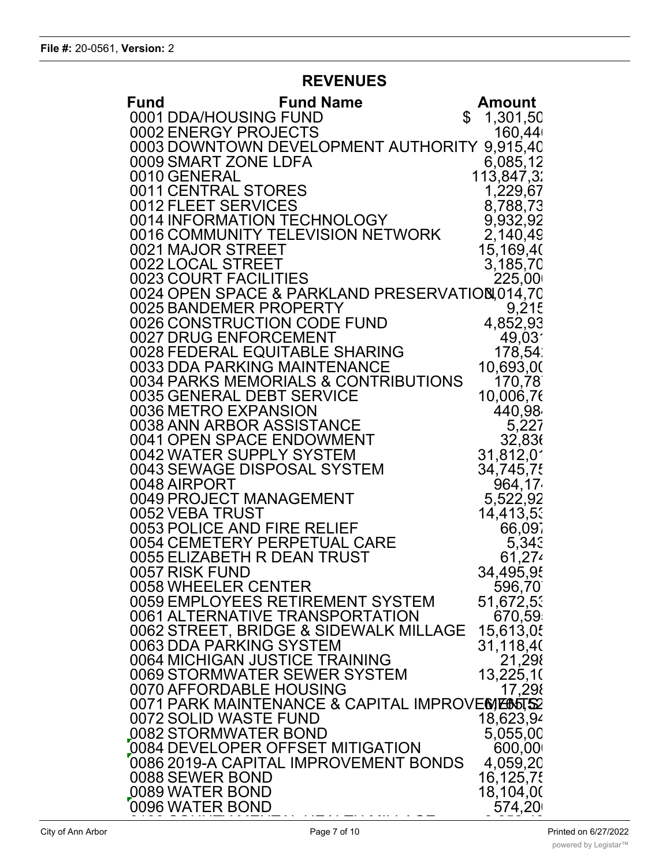## **REVENUES**

| Fund                                                     | <b>Fund Name</b>                                 | <b>Amount</b>       |
|----------------------------------------------------------|--------------------------------------------------|---------------------|
| 0001 DDA/HOUSING FUND                                    |                                                  | \$<br>1,301,50      |
| 0002 ENERGY PROJECTS                                     |                                                  | 160,44              |
|                                                          | 0003 DOWNTOWN DEVELOPMENT AUTHORITY              | 9,915,40            |
| 0009 SMART ZONE LDFA                                     |                                                  | 6,085,12            |
| 0010 GENERAL                                             |                                                  | 113,847,3:          |
| 0011 CENTRAL STORES                                      |                                                  | 1,229,67            |
| 0012 FLEET SERVICES                                      |                                                  | 8,788,73            |
| 0014 INFORMATION TECHNOLOGY                              |                                                  | 9,932,92            |
|                                                          | 0016 COMMUNITY TELEVISION NETWORK                | 2,140,49            |
| 0021 MAJOR STREET                                        |                                                  | 15,169,40           |
| 0022 LOCAL STREET                                        |                                                  | 3,185,70            |
| 0023 COURT FACILITIES                                    |                                                  | 225,00              |
|                                                          | 0024 OPEN SPACE & PARKLAND PRESERVATION, 014, 70 |                     |
| 0025 BANDEMER PROPERTY<br>0026 CONSTRUCTION CODE FUND    |                                                  | 9,215               |
| 0027 DRUG ENFORCEMENT                                    |                                                  | 4,852,93            |
| 0028 FEDERAL EQUITABLE SHARING                           |                                                  | 49,03'<br>178,54.   |
| 0033 DDA PARKING MAINTENANCE                             |                                                  |                     |
|                                                          | 0034 PARKS MEMORIALS & CONTRIBUTIONS             | 10,693,00<br>170,78 |
| 0035 GENERAL DEBT SERVICE                                |                                                  | 10,006,76           |
| 0036 METRO EXPANSION                                     |                                                  | 440,98              |
| 0038 ANN ARBOR ASSISTANCE                                |                                                  | 5,227               |
| 0041 OPEN SPACE ENDOWMENT                                |                                                  | 32,836              |
| 0042 WATER SUPPLY SYSTEM                                 |                                                  | 31,812,01           |
| 0043 SEWAGE DISPOSAL SYSTEM                              |                                                  | 34,745,75           |
| 0048 AIRPORT                                             |                                                  | 964,17              |
| 0049 PROJECT MANAGEMENT                                  |                                                  | 5,522,92            |
| 0052 VEBA TRUST                                          |                                                  | 14,413,53           |
| 0053 POLICE AND FIRE RELIEF                              |                                                  | 66,097              |
| 0054 CEMETERY PERPETUAL CARE                             |                                                  | 5,343               |
| 0055 ELIZABETH R DEAN TRUST                              |                                                  | 61,274              |
| 0057 RISK FUND                                           |                                                  | 34,495,95           |
| 0058 WHEELER CENTER                                      |                                                  | 596,70              |
|                                                          | 0059 EMPLOYEES RETIREMENT SYSTEM                 | 51,672,53           |
| 0061 ALTERNATIVE TRANSPORTATION                          |                                                  | 670,59              |
|                                                          | 0062 STREET, BRIDGE & SIDEWALK MILLAGE           | 15,613,05           |
| 0063 DDA PARKING SYSTEM                                  |                                                  | 31,118,40           |
| 0064 MICHIGAN JUSTICE TRAINING                           |                                                  | 21,298              |
| 0069 STORMWATER SEWER SYSTEM                             |                                                  | 13,225,10           |
| 0070 AFFORDABLE HOUSING                                  |                                                  | 17,298              |
| 0072 SOLID WASTE FUND                                    | 0071 PARK MAINTENANCE & CAPITAL IMPROVEMENTS2    |                     |
|                                                          |                                                  | 18,623,94           |
| 0082 STORMWATER BOND<br>0084 DEVELOPER OFFSET MITIGATION |                                                  | 5,055,00<br>600,00  |
|                                                          | 0086 2019-A CAPITAL IMPROVEMENT BONDS            | 4,059,20            |
| 0088 SEWER BOND                                          |                                                  | 16,125,75           |
| 0089 WATER BOND                                          |                                                  | 18,104,00           |
| 0096 WATER BOND                                          |                                                  | 574,20              |
|                                                          |                                                  |                     |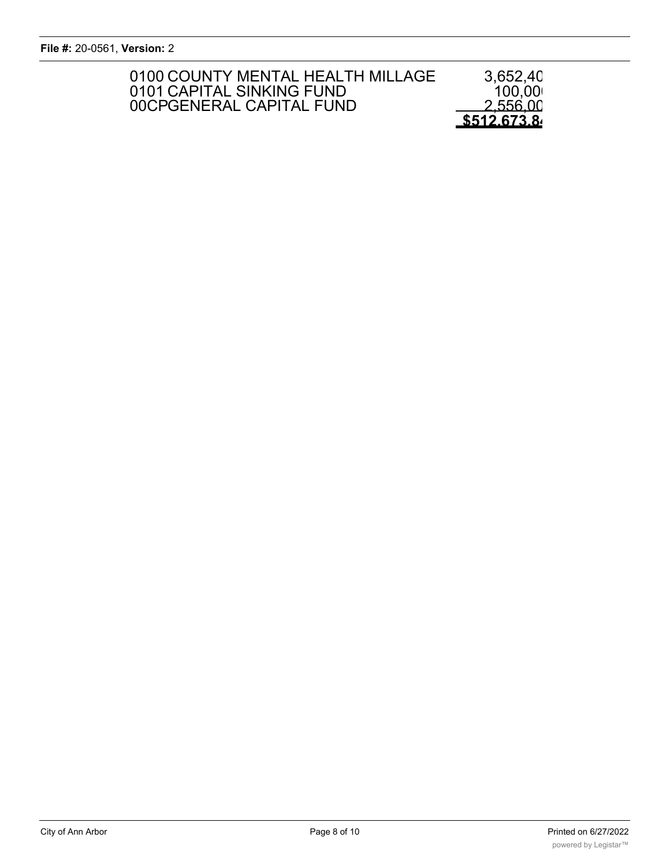**File #:** 20-0561, **Version:** 2

| 0100 COUNTY MENTAL HEALTH MILLAGE<br>0101 CAPITAL SINKING FUND<br>00CPGENERAL CAPITAL FUND | 3,652,40<br>100,00<br>2.556.00 |
|--------------------------------------------------------------------------------------------|--------------------------------|
|                                                                                            | \$512.673.8                    |

de la segunda de la segunda de la segunda de la segunda de la segunda de la segunda de la segunda de la segund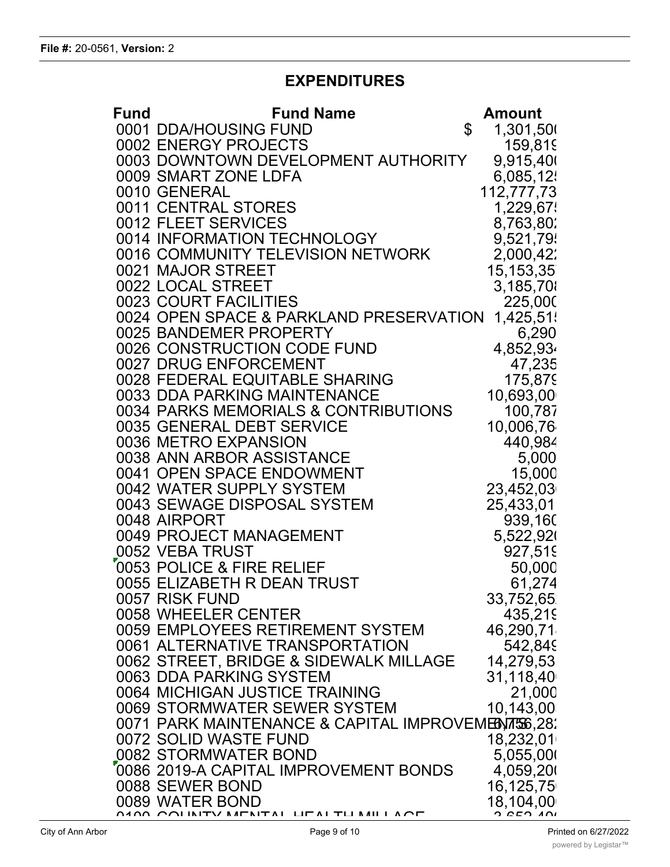## **EXPENDITURES**

| <b>Fund</b> | <b>Fund Name</b>                                               | <b>Amount</b>         |
|-------------|----------------------------------------------------------------|-----------------------|
|             | 0001 DDA/HOUSING FUND                                          | \$<br>1,301,500       |
|             | 0002 ENERGY PROJECTS                                           | 159,819               |
|             | 0003 DOWNTOWN DEVELOPMENT AUTHORITY                            | 9,915,400             |
|             | 0009 SMART ZONE LDFA                                           | 6,085,12              |
|             | 0010 GENERAL                                                   | 112,777,73            |
|             | 0011 CENTRAL STORES                                            | 1,229,67              |
|             | 0012 FLEET SERVICES                                            | 8,763,80              |
|             | 0014 INFORMATION TECHNOLOGY                                    | 9,521,79              |
|             | 0016 COMMUNITY TELEVISION NETWORK                              | 2,000,42              |
|             | 0021 MAJOR STREET                                              | 15, 153, 35           |
|             | 0022 LOCAL STREET                                              | 3,185,70              |
|             | 0023 COURT FACILITIES                                          | 225,000               |
|             | 0024 OPEN SPACE & PARKLAND PRESERVATION                        | 1,425,51              |
|             | 0025 BANDEMER PROPERTY<br>0026 CONSTRUCTION CODE FUND          | 6,290                 |
|             | 0027 DRUG ENFORCEMENT                                          | 4,852,934<br>47,235   |
|             | 0028 FEDERAL EQUITABLE SHARING                                 | 175,879               |
|             | 0033 DDA PARKING MAINTENANCE                                   | 10,693,00             |
|             | 0034 PARKS MEMORIALS & CONTRIBUTIONS                           | 100,787               |
|             | 0035 GENERAL DEBT SERVICE                                      | 10,006,76             |
|             | 0036 METRO EXPANSION                                           | 440,984               |
|             | 0038 ANN ARBOR ASSISTANCE                                      | 5,000                 |
|             | 0041 OPEN SPACE ENDOWMENT                                      | 15,000                |
|             | 0042 WATER SUPPLY SYSTEM                                       | 23,452,03             |
|             | 0043 SEWAGE DISPOSAL SYSTEM                                    | 25,433,01             |
|             | 0048 AIRPORT                                                   | 939,160               |
|             | 0049 PROJECT MANAGEMENT                                        | 5,522,920             |
|             | 0052 VEBA TRUST                                                | 927,519               |
|             | 0053 POLICE & FIRE RELIEF                                      | 50,000                |
|             | 0055 ELIZABETH R DEAN TRUST                                    | 61,274                |
|             | 0057 RISK FUND                                                 | 33,752,65             |
|             | 0058 WHEELER CENTER                                            | 435,219               |
|             | 0059 EMPLOYEES RETIREMENT SYSTEM                               | 46,290,71             |
|             | 0061 ALTERNATIVE TRANSPORTATION                                | 542.849               |
|             | 0062 STREET, BRIDGE & SIDEWALK MILLAGE                         | 14,279,53             |
|             | 0063 DDA PARKING SYSTEM                                        | 31,118,40             |
|             | 0064 MICHIGAN JUSTICE TRAINING                                 | 21,000                |
|             | 0069 STORMWATER SEWER SYSTEM                                   | 10,143,00             |
|             | 0071 PARK MAINTENANCE & CAPITAL IMPROVEMENTS6,28.              |                       |
|             | 0072 SOLID WASTE FUND                                          | 18,232,01             |
|             | 0082 STORMWATER BOND                                           | 5,055,000             |
|             | 0086 2019-A CAPITAL IMPROVEMENT BONDS                          | 4,059,200             |
|             | 0088 SEWER BOND                                                | 16,125,75             |
|             | 0089 WATER BOND<br>IITAI TII MII I A <sub>CD</sub><br>ITYINTNI | 18,104,00<br>2.052.00 |
|             | Page 9 of 10                                                   | Print                 |